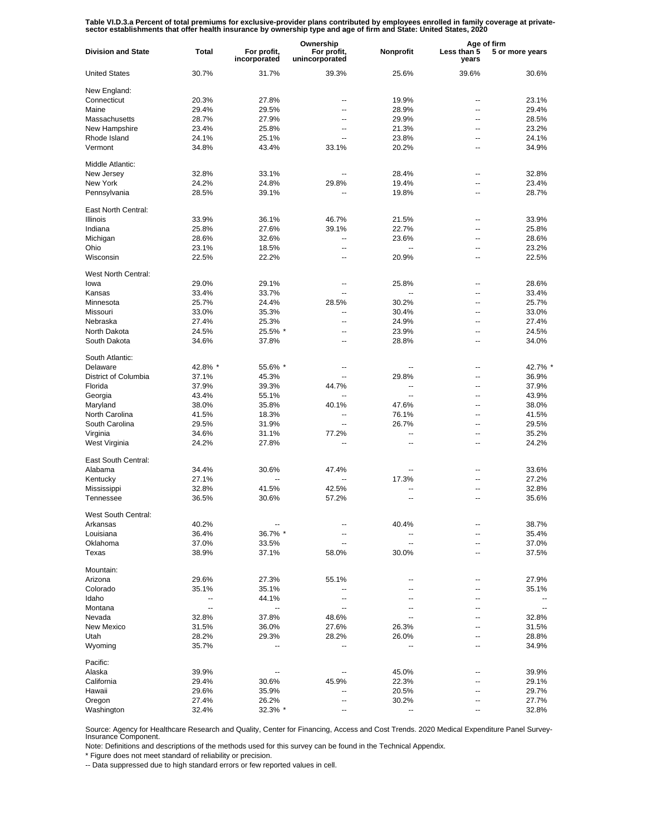Table VI.D.3.a Percent of total premiums for exclusive-provider plans contributed by employees enrolled in family coverage at private-<br>sector establishments that offer health insurance by ownership type and age of firm and

|                           |              | Ownership                   |                               |                | Age of firm              |                          |
|---------------------------|--------------|-----------------------------|-------------------------------|----------------|--------------------------|--------------------------|
| <b>Division and State</b> | <b>Total</b> | For profit,<br>incorporated | For profit,<br>unincorporated | Nonprofit      | Less than 5<br>years     | 5 or more years          |
| <b>United States</b>      | 30.7%        | 31.7%                       | 39.3%                         | 25.6%          | 39.6%                    | 30.6%                    |
| New England:              |              |                             |                               |                |                          |                          |
| Connecticut               | 20.3%        | 27.8%                       |                               | 19.9%          |                          | 23.1%                    |
| Maine                     | 29.4%        | 29.5%                       | --                            | 28.9%          | $\overline{a}$           | 29.4%                    |
| Massachusetts             | 28.7%        | 27.9%                       | --                            | 29.9%          | $\overline{a}$           | 28.5%                    |
| New Hampshire             | 23.4%        | 25.8%                       | --                            | 21.3%          | --                       | 23.2%                    |
| Rhode Island              | 24.1%        | 25.1%                       | $\overline{a}$                | 23.8%          | $\overline{a}$           | 24.1%                    |
|                           |              |                             |                               |                |                          |                          |
| Vermont                   | 34.8%        | 43.4%                       | 33.1%                         | 20.2%          |                          | 34.9%                    |
| Middle Atlantic:          |              |                             |                               |                |                          |                          |
| New Jersey                | 32.8%        | 33.1%                       |                               | 28.4%          | $\overline{\phantom{a}}$ | 32.8%                    |
| New York                  | 24.2%        | 24.8%                       | 29.8%                         | 19.4%          | $\overline{\phantom{a}}$ | 23.4%                    |
| Pennsylvania              | 28.5%        | 39.1%                       | $\overline{a}$                | 19.8%          | $\overline{\phantom{a}}$ | 28.7%                    |
|                           |              |                             |                               |                |                          |                          |
| East North Central:       |              |                             |                               |                |                          |                          |
| <b>Illinois</b>           | 33.9%        | 36.1%                       | 46.7%                         | 21.5%          | $\overline{a}$           | 33.9%                    |
| Indiana                   | 25.8%        | 27.6%                       | 39.1%                         | 22.7%          | $\overline{\phantom{a}}$ | 25.8%                    |
| Michigan                  | 28.6%        | 32.6%                       |                               | 23.6%          | $\overline{a}$           | 28.6%                    |
| Ohio                      | 23.1%        | 18.5%                       | --                            |                | $\overline{a}$           | 23.2%                    |
| Wisconsin                 | 22.5%        | 22.2%                       | --                            | 20.9%          | $\overline{a}$           | 22.5%                    |
|                           |              |                             |                               |                |                          |                          |
| West North Central:       |              |                             |                               |                |                          |                          |
| lowa                      | 29.0%        | 29.1%                       | --                            | 25.8%          |                          | 28.6%                    |
| Kansas                    | 33.4%        | 33.7%                       | ÷-                            | --             | --                       | 33.4%                    |
| Minnesota                 | 25.7%        | 24.4%                       | 28.5%                         | 30.2%          | $\overline{a}$           | 25.7%                    |
| Missouri                  | 33.0%        | 35.3%                       | $\overline{a}$                | 30.4%          | $\overline{a}$           | 33.0%                    |
| Nebraska                  | 27.4%        | 25.3%                       | --                            | 24.9%          | $\overline{a}$           | 27.4%                    |
| North Dakota              | 24.5%        | 25.5% *                     | --                            | 23.9%          | --                       | 24.5%                    |
| South Dakota              | 34.6%        | 37.8%                       | --                            | 28.8%          |                          | 34.0%                    |
|                           |              |                             |                               |                |                          |                          |
| South Atlantic:           |              |                             |                               |                |                          |                          |
| Delaware                  | 42.8% *      | 55.6% *                     | --                            | --             | --                       | 42.7% *                  |
| District of Columbia      | 37.1%        | 45.3%                       | --                            | 29.8%          | $\overline{\phantom{a}}$ | 36.9%                    |
| Florida                   | 37.9%        | 39.3%                       | 44.7%                         | --             | $\overline{\phantom{a}}$ | 37.9%                    |
| Georgia                   | 43.4%        | 55.1%                       | $\overline{\phantom{a}}$      | $\overline{a}$ | --                       | 43.9%                    |
| Maryland                  | 38.0%        | 35.8%                       | 40.1%                         | 47.6%          | $\overline{\phantom{a}}$ | 38.0%                    |
| North Carolina            | 41.5%        | 18.3%                       | $\overline{a}$                | 76.1%          | $\overline{\phantom{a}}$ | 41.5%                    |
| South Carolina            | 29.5%        | 31.9%                       | $\overline{a}$                | 26.7%          | $\overline{\phantom{a}}$ | 29.5%                    |
| Virginia                  | 34.6%        | 31.1%                       | 77.2%                         | ۰.             | $\overline{\phantom{a}}$ | 35.2%                    |
| West Virginia             | 24.2%        | 27.8%                       | --                            | --             | --                       | 24.2%                    |
|                           |              |                             |                               |                |                          |                          |
| East South Central:       |              |                             |                               |                |                          |                          |
| Alabama                   | 34.4%        | 30.6%                       | 47.4%                         |                | --                       | 33.6%                    |
| Kentucky                  | 27.1%        |                             |                               | 17.3%          | $\overline{a}$           | 27.2%                    |
| Mississippi               | 32.8%        | 41.5%                       | 42.5%                         |                | --                       | 32.8%                    |
| Tennessee                 | 36.5%        | 30.6%                       | 57.2%                         | ц,             | $\overline{a}$           | 35.6%                    |
| West South Central:       |              |                             |                               |                |                          |                          |
|                           |              |                             |                               |                |                          |                          |
| Arkansas                  | 40.2%        |                             |                               | 40.4%          |                          | 38.7%                    |
| Louisiana                 | 36.4%        | 36.7% *                     |                               |                |                          | 35.4%                    |
| Oklahoma                  | 37.0%        | 33.5%                       |                               | --             |                          | 37.0%                    |
| Texas                     | 38.9%        | 37.1%                       | 58.0%                         | 30.0%          |                          | 37.5%                    |
| Mountain:                 |              |                             |                               |                |                          |                          |
| Arizona                   | 29.6%        | 27.3%                       | 55.1%                         | --             |                          | 27.9%                    |
| Colorado                  | 35.1%        | 35.1%                       | --                            | --             |                          | 35.1%                    |
| Idaho                     | --           | 44.1%                       | --                            | --             |                          | --                       |
|                           |              |                             |                               |                |                          |                          |
| Montana                   | --           | $\overline{\phantom{a}}$    | $\overline{\phantom{a}}$      | --             |                          | $\overline{\phantom{a}}$ |
| Nevada                    | 32.8%        | 37.8%                       | 48.6%                         | --             |                          | 32.8%                    |
| New Mexico                | 31.5%        | 36.0%                       | 27.6%                         | 26.3%          |                          | 31.5%                    |
| Utah                      | 28.2%        | 29.3%                       | 28.2%                         | 26.0%          |                          | 28.8%                    |
| Wyoming                   | 35.7%        |                             | --                            | --             |                          | 34.9%                    |
| Pacific:                  |              |                             |                               |                |                          |                          |
|                           |              |                             |                               |                |                          |                          |
| Alaska                    | 39.9%        | $\overline{\phantom{a}}$    | --                            | 45.0%          |                          | 39.9%                    |
| California                | 29.4%        | 30.6%                       | 45.9%                         | 22.3%          |                          | 29.1%                    |
| Hawaii                    | 29.6%        | 35.9%                       | $\overline{\phantom{a}}$      | 20.5%          |                          | 29.7%                    |
| Oregon                    | 27.4%        | 26.2%                       | --                            | 30.2%          |                          | 27.7%                    |
| Washington                | 32.4%        | 32.3% *                     |                               |                |                          | 32.8%                    |

Source: Agency for Healthcare Research and Quality, Center for Financing, Access and Cost Trends. 2020 Medical Expenditure Panel Survey-Insurance Component.

Note: Definitions and descriptions of the methods used for this survey can be found in the Technical Appendix.

\* Figure does not meet standard of reliability or precision.

-- Data suppressed due to high standard errors or few reported values in cell.